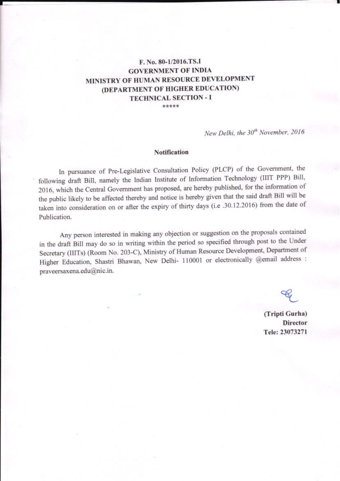## F. No. 80-1/2016.TS.I **GOVERNMENT OF INDIA** MINISTRY OF HUMAN RESOURCE DEVELOPMENT (DEPARTMENT OF HIGHER EDUCATION) **TECHNICAL SECTION - I**

\*\*\*\*\*

New Delhi, the 30<sup>th</sup> November, 2016

#### **Notification**

In pursuance of Pre-Legislative Consultation Policy (PLCP) of the Government, the following draft Bill, namely the Indian Institute of Information Technology (IIIT PPP) Bill, 2016, which the Central Government has proposed, are hereby published, for the information of the public likely to be affected thereby and notice is hereby given that the said draft Bill will be taken into consideration on or after the expiry of thirty days (i.e .30.12.2016) from the date of Publication.

Any person interested in making any objection or suggestion on the proposals contained in the draft Bill may do so in writing within the period so specified through post to the Under Secretary (IIITs) (Room No. 203-C), Ministry of Human Resource Development, Department of Higher Education, Shastri Bhawan, New Delhi- 110001 or electronically @email address : praveersaxena.edu@nic.in.

(Tripti Gurha) **Director** Tele: 23073271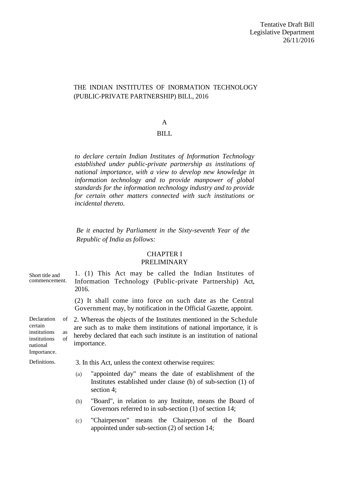## THE INDIAN INSTITUTES OF INORMATION TECHNOLOGY (PUBLIC-PRIVATE PARTNERSHIP) BILL, 2016

## A

## BILL

*to declare certain Indian Institutes of Information Technology established under public-private partnership as institutions of national importance, with a view to develop new knowledge in information technology and to provide manpower of global standards for the information technology industry and to provide for certain other matters connected with such institutions or incidental thereto.*

*Be it enacted by Parliament in the Sixty-seventh Year of the Republic of India as follows:*

## CHAPTER I PRELIMINARY

| Short title and<br>commencement.                                                                    | 1. (1) This Act may be called the Indian Institutes of<br>Information Technology (Public-private Partnership) Act,<br>2016.                                                                                                        |
|-----------------------------------------------------------------------------------------------------|------------------------------------------------------------------------------------------------------------------------------------------------------------------------------------------------------------------------------------|
|                                                                                                     | (2) It shall come into force on such date as the Central<br>Government may, by notification in the Official Gazette, appoint.                                                                                                      |
| Declaration<br>of<br>certain<br>institutions<br>as<br>of<br>institutions<br>national<br>Importance. | 2. Whereas the objects of the Institutes mentioned in the Schedule<br>are such as to make them institutions of national importance, it is<br>hereby declared that each such institute is an institution of national<br>importance. |
| Definitions.                                                                                        | 3. In this Act, unless the context otherwise requires:                                                                                                                                                                             |
|                                                                                                     | "appointed day" means the date of establishment of the<br>(a)<br>Institutes established under clause (b) of sub-section (1) of<br>section 4;                                                                                       |
|                                                                                                     | "Board", in relation to any Institute, means the Board of<br>(b)<br>Governors referred to in sub-section $(1)$ of section 14;                                                                                                      |
|                                                                                                     | "Chairperson" means the Chairperson of the Board<br>(c)<br>appointed under sub-section $(2)$ of section 14;                                                                                                                        |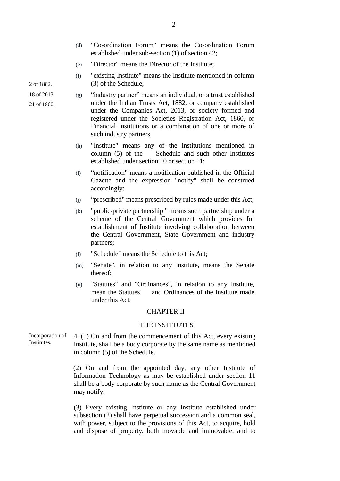- (d) "Co-ordination Forum" means the Co-ordination Forum established under sub-section (1) of section 42;
- (e) "Director" means the Director of the Institute;
- (f) "existing Institute" means the Institute mentioned in column (3) of the Schedule;

 $(g)$  "industry partner" means an individual, or a trust established under the Indian Trusts Act, 1882, or company established under the Companies Act, 2013, or society formed and registered under the Societies Registration Act, 1860, or Financial Institutions or a combination of one or more of such industry partners,

- (h) "Institute" means any of the institutions mentioned in column (5) of the Schedule and such other Institutes established under section 10 or section 11;
- (i) ―notification" means a notification published in the Official Gazette and the expression "notify" shall be construed accordingly:
- (i) "prescribed" means prescribed by rules made under this Act;
- (k) "public-private partnership " means such partnership under a scheme of the Central Government which provides for establishment of Institute involving collaboration between the Central Government, State Government and industry partners;
- (l) "Schedule" means the Schedule to this Act;
- (m) "Senate", in relation to any Institute, means the Senate thereof;
- (n) "Statutes" and "Ordinances", in relation to any Institute, mean the Statutes and Ordinances of the Institute made under this Act.

## CHAPTER II

## THE INSTITUTES

Incorporation of Institutes. 4. (1) On and from the commencement of this Act, every existing Institute, shall be a body corporate by the same name as mentioned in column (5) of the Schedule.

> (2) On and from the appointed day, any other Institute of Information Technology as may be established under section 11 shall be a body corporate by such name as the Central Government may notify.

> (3) Every existing Institute or any Institute established under subsection (2) shall have perpetual succession and a common seal, with power, subject to the provisions of this Act, to acquire, hold and dispose of property, both movable and immovable, and to

2 of 1882.

18 of 2013.

21 of 1860.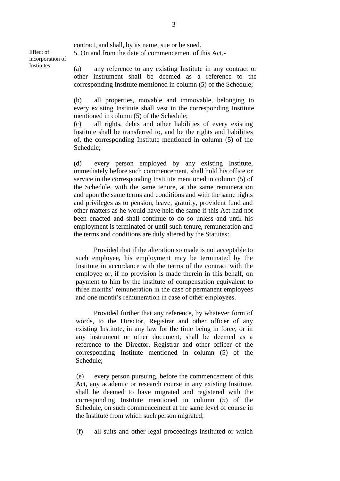contract, and shall, by its name, sue or be sued. 5. On and from the date of commencement of this Act,-

Effect of incorporation of Institutes.

(a) any reference to any existing Institute in any contract or other instrument shall be deemed as a reference to the corresponding Institute mentioned in column (5) of the Schedule;

(b) all properties, movable and immovable, belonging to every existing Institute shall vest in the corresponding Institute mentioned in column (5) of the Schedule;

(c) all rights, debts and other liabilities of every existing Institute shall be transferred to, and be the rights and liabilities of, the corresponding Institute mentioned in column (5) of the Schedule;

(d) every person employed by any existing Institute, immediately before such commencement, shall hold his office or service in the corresponding Institute mentioned in column (5) of the Schedule, with the same tenure, at the same remuneration and upon the same terms and conditions and with the same rights and privileges as to pension, leave, gratuity, provident fund and other matters as he would have held the same if this Act had not been enacted and shall continue to do so unless and until his employment is terminated or until such tenure, remuneration and the terms and conditions are duly altered by the Statutes:

Provided that if the alteration so made is not acceptable to such employee, his employment may be terminated by the Institute in accordance with the terms of the contract with the employee or, if no provision is made therein in this behalf, on payment to him by the institute of compensation equivalent to three months' remuneration in the case of permanent employees and one month's remuneration in case of other employees.

Provided further that any reference, by whatever form of words, to the Director, Registrar and other officer of any existing Institute, in any law for the time being in force, or in any instrument or other document, shall be deemed as a reference to the Director, Registrar and other officer of the corresponding Institute mentioned in column (5) of the Schedule;

(e) every person pursuing, before the commencement of this Act, any academic or research course in any existing Institute, shall be deemed to have migrated and registered with the corresponding Institute mentioned in column (5) of the Schedule, on such commencement at the same level of course in the Institute from which such person migrated;

(f) all suits and other legal proceedings instituted or which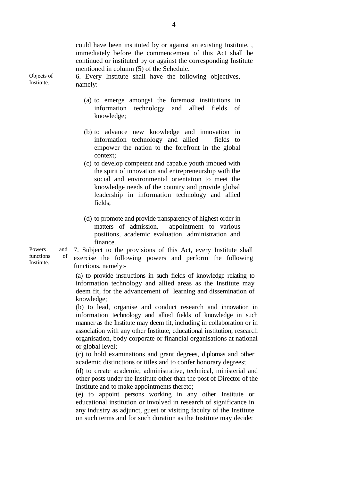could have been instituted by or against an existing Institute, , immediately before the commencement of this Act shall be continued or instituted by or against the corresponding Institute mentioned in column (5) of the Schedule.

6. Every Institute shall have the following objectives, namely:-

- (a) to emerge amongst the foremost institutions in information technology and allied fields of knowledge;
- (b) to advance new knowledge and innovation in information technology and allied fields to empower the nation to the forefront in the global context;
- (c) to develop competent and capable youth imbued with the spirit of innovation and entrepreneurship with the social and environmental orientation to meet the knowledge needs of the country and provide global leadership in information technology and allied fields;
- (d) to promote and provide transparency of highest order in matters of admission, appointment to various positions, academic evaluation, administration and finance.

7. Subject to the provisions of this Act, every Institute shall exercise the following powers and perform the following functions, namely:-

(a) to provide instructions in such fields of knowledge relating to information technology and allied areas as the Institute may deem fit, for the advancement of learning and dissemination of knowledge;

(b) to lead, organise and conduct research and innovation in information technology and allied fields of knowledge in such manner as the Institute may deem fit, including in collaboration or in association with any other Institute, educational institution, research organisation, body corporate or financial organisations at national or global level;

(c) to hold examinations and grant degrees, diplomas and other academic distinctions or titles and to confer honorary degrees;

(d) to create academic, administrative, technical, ministerial and other posts under the Institute other than the post of Director of the Institute and to make appointments thereto;

(e) to appoint persons working in any other Institute or educational institution or involved in research of significance in any industry as adjunct, guest or visiting faculty of the Institute on such terms and for such duration as the Institute may decide;

Powers and functions of Institute.

Objects of Institute.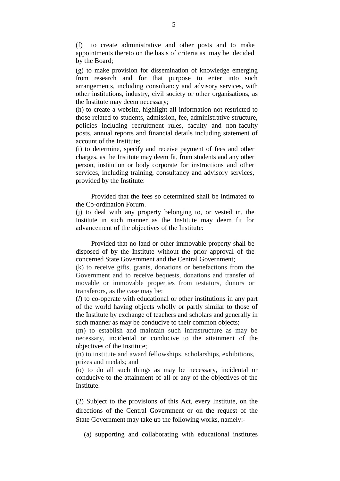(f) to create administrative and other posts and to make appointments thereto on the basis of criteria as may be decided by the Board;

(g) to make provision for dissemination of knowledge emerging from research and for that purpose to enter into such arrangements, including consultancy and advisory services, with other institutions, industry, civil society or other organisations, as the Institute may deem necessary;

(h) to create a website, highlight all information not restricted to those related to students, admission, fee, administrative structure, policies including recruitment rules, faculty and non-faculty posts, annual reports and financial details including statement of account of the Institute;

(i) to determine, specify and receive payment of fees and other charges, as the Institute may deem fit, from students and any other person, institution or body corporate for instructions and other services, including training, consultancy and advisory services, provided by the Institute:

 Provided that the fees so determined shall be intimated to the Co-ordination Forum.

(j) to deal with any property belonging to, or vested in, the Institute in such manner as the Institute may deem fit for advancement of the objectives of the Institute:

Provided that no land or other immovable property shall be disposed of by the Institute without the prior approval of the concerned State Government and the Central Government;

(k) to receive gifts, grants, donations or benefactions from the Government and to receive bequests, donations and transfer of movable or immovable properties from testators, donors or transferors, as the case may be;

(*l*) to co-operate with educational or other institutions in any part of the world having objects wholly or partly similar to those of the Institute by exchange of teachers and scholars and generally in such manner as may be conducive to their common objects;

(m) to establish and maintain such infrastructure as may be necessary, incidental or conducive to the attainment of the objectives of the Institute;

(n) to institute and award fellowships, scholarships, exhibitions, prizes and medals; and

(o) to do all such things as may be necessary, incidental or conducive to the attainment of all or any of the objectives of the Institute.

(2) Subject to the provisions of this Act, every Institute, on the directions of the Central Government or on the request of the State Government may take up the following works, namely:-

(a) supporting and collaborating with educational institutes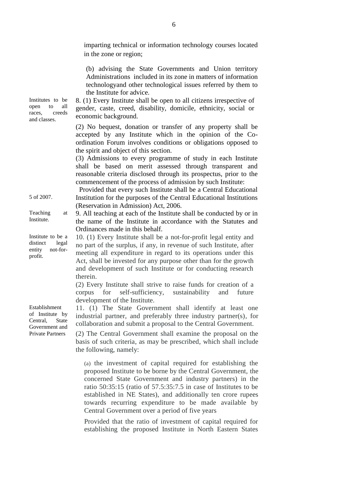|                                                                                | imparting technical or information technology courses located<br>in the zone or region;                                                                                                                                                                                                                                                                                                                                                  |
|--------------------------------------------------------------------------------|------------------------------------------------------------------------------------------------------------------------------------------------------------------------------------------------------------------------------------------------------------------------------------------------------------------------------------------------------------------------------------------------------------------------------------------|
| Institutes to be<br>all<br>open<br>to<br>races,<br>creeds<br>and classes.      | (b) advising the State Governments and Union territory<br>Administrations included in its zone in matters of information<br>technologyand other technological issues referred by them to<br>the Institute for advice.<br>8. (1) Every Institute shall be open to all citizens irrespective of<br>gender, caste, creed, disability, domicile, ethnicity, social or<br>economic background.                                                |
|                                                                                | (2) No bequest, donation or transfer of any property shall be<br>accepted by any Institute which in the opinion of the Co-<br>ordination Forum involves conditions or obligations opposed to<br>the spirit and object of this section.<br>(3) Admissions to every programme of study in each Institute<br>shall be based on merit assessed through transparent and<br>reasonable criteria disclosed through its prospectus, prior to the |
|                                                                                | commencement of the process of admission by such Institute:<br>Provided that every such Institute shall be a Central Educational                                                                                                                                                                                                                                                                                                         |
| 5 of 2007.                                                                     | Institution for the purposes of the Central Educational Institutions<br>(Reservation in Admission) Act, 2006.                                                                                                                                                                                                                                                                                                                            |
| Teaching<br>at<br>Institute.                                                   | 9. All teaching at each of the Institute shall be conducted by or in<br>the name of the Institute in accordance with the Statutes and<br>Ordinances made in this behalf.                                                                                                                                                                                                                                                                 |
| Institute to be a<br>distinct<br>legal<br>not-for-<br>entity<br>profit.        | 10. (1) Every Institute shall be a not-for-profit legal entity and<br>no part of the surplus, if any, in revenue of such Institute, after<br>meeting all expenditure in regard to its operations under this<br>Act, shall be invested for any purpose other than for the growth<br>and development of such Institute or for conducting research<br>therein.                                                                              |
|                                                                                | (2) Every Institute shall strive to raise funds for creation of a<br>for self-sufficiency, sustainability<br>future<br>corpus<br>and<br>development of the Institute.                                                                                                                                                                                                                                                                    |
| Establishment<br>of Institute by<br>Central,<br><b>State</b><br>Government and | 11. (1) The State Government shall identify at least one<br>industrial partner, and preferably three industry partner(s), for<br>collaboration and submit a proposal to the Central Government.                                                                                                                                                                                                                                          |
| <b>Private Partners</b>                                                        | (2) The Central Government shall examine the proposal on the<br>basis of such criteria, as may be prescribed, which shall include<br>the following, namely:                                                                                                                                                                                                                                                                              |
|                                                                                | (a) the investment of capital required for establishing the<br>proposed Institute to be borne by the Central Government, the<br>concerned State Government and industry partners) in the<br>ratio 50:35:15 (ratio of 57.5:35:7.5 in case of Institutes to be<br>established in NE States), and additionally ten crore rupees<br>towards recurring expenditure to be made available by                                                    |

Provided that the ratio of investment of capital required for establishing the proposed Institute in North Eastern States

Central Government over a period of five years

6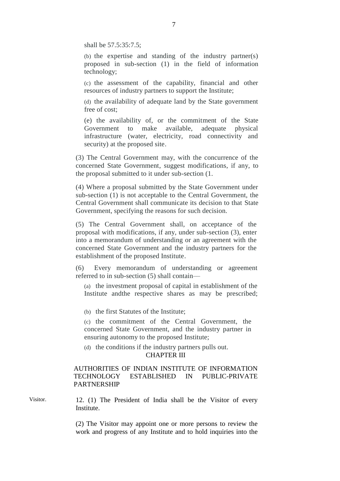shall be 57.5:35:7.5;

(b) the expertise and standing of the industry partner(s) proposed in sub-section (1) in the field of information technology;

(c) the assessment of the capability, financial and other resources of industry partners to support the Institute;

(d) the availability of adequate land by the State government free of cost;

(e) the availability of, or the commitment of the State Government to make available, adequate physical infrastructure (water, electricity, road connectivity and security) at the proposed site.

(3) The Central Government may, with the concurrence of the concerned State Government, suggest modifications, if any, to the proposal submitted to it under sub-section (1.

(4) Where a proposal submitted by the State Government under sub-section (1) is not acceptable to the Central Government, the Central Government shall communicate its decision to that State Government, specifying the reasons for such decision.

(5) The Central Government shall, on acceptance of the proposal with modifications, if any, under sub-section (3), enter into a memorandum of understanding or an agreement with the concerned State Government and the industry partners for the establishment of the proposed Institute.

(6) Every memorandum of understanding or agreement referred to in sub-section (5) shall contain––

(a) the investment proposal of capital in establishment of the Institute andthe respective shares as may be prescribed;

(b) the first Statutes of the Institute;

(c) the commitment of the Central Government, the concerned State Government, and the industry partner in ensuring autonomy to the proposed Institute;

(d) the conditions if the industry partners pulls out.

## CHAPTER III

## AUTHORITIES OF INDIAN INSTITUTE OF INFORMATION TECHNOLOGY ESTABLISHED IN PUBLIC-PRIVATE PARTNERSHIP

Visitor. 12. (1) The President of India shall be the Visitor of every **Institute.** 

> (2) The Visitor may appoint one or more persons to review the work and progress of any Institute and to hold inquiries into the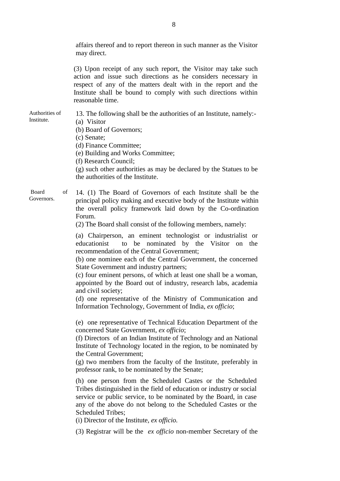affairs thereof and to report thereon in such manner as the Visitor may direct. (3) Upon receipt of any such report, the Visitor may take such action and issue such directions as he considers necessary in respect of any of the matters dealt with in the report and the Institute shall be bound to comply with such directions within reasonable time. Authorities of Institute. 13. The following shall be the authorities of an Institute, namely:- (a) Visitor (b) Board of Governors; (c) Senate; (d) Finance Committee; (e) Building and Works Committee; (f) Research Council; (g) such other authorities as may be declared by the Statues to be the authorities of the Institute. Board of Governors. 14. (1) The Board of Governors of each Institute shall be the principal policy making and executive body of the Institute within the overall policy framework laid down by the Co-ordination Forum. (2) The Board shall consist of the following members, namely: (a) Chairperson, an eminent technologist or industrialist or educationist to be nominated by the Visitor on the recommendation of the Central Government; (b) one nominee each of the Central Government, the concerned State Government and industry partners; (c) four eminent persons, of which at least one shall be a woman, appointed by the Board out of industry, research labs, academia and civil society; (d) one representative of the Ministry of Communication and Information Technology, Government of India, *ex officio*; (e) one representative of Technical Education Department of the concerned State Government, *ex officio*; (f) Directors of an Indian Institute of Technology and an National Institute of Technology located in the region, to be nominated by the Central Government; (g) two members from the faculty of the Institute, preferably in professor rank, to be nominated by the Senate; (h) one person from the Scheduled Castes or the Scheduled Tribes distinguished in the field of education or industry or social service or public service, to be nominated by the Board, in case any of the above do not belong to the Scheduled Castes or the Scheduled Tribes; (i) Director of the Institute, *ex officio.* (3) Registrar will be the *ex officio* non-member Secretary of the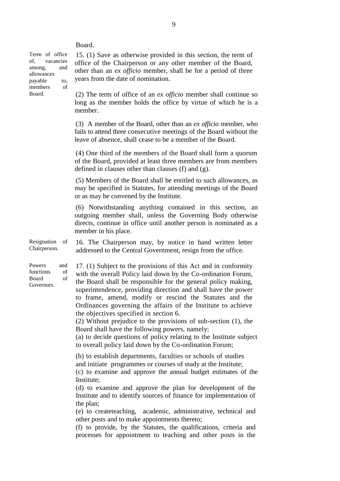Board.

Term of office of, vacancies among, and allowances payable to, members of Board.

15. (1) Save as otherwise provided in this section, the term of office of the Chairperson or any other member of the Board, other than an *ex officio* member, shall be for a period of three years from the date of nomination.

(2) The term of office of an *ex officio* member shall continue so long as the member holds the office by virtue of which he is a member.

(3) A member of the Board, other than an *ex officio* member, who fails to attend three consecutive meetings of the Board without the leave of absence, shall cease to be a member of the Board.

(4) One third of the members of the Board shall form a quorum of the Board, provided at least three members are from members defined in clauses other than clauses (f) and (g).

(5) Members of the Board shall be entitled to such allowances, as may be specified in Statutes, for attending meetings of the Board or as may be convened by the Institute.

(6) Notwithstanding anything contained in this section, an outgoing member shall, unless the Governing Body otherwise directs, continue in office until another person is nominated as a member in his place.

Resignation of Chairperson. 16. The Chairperson may, by notice in hand written letter addressed to the Central Government, resign from the office.

Powers and functions of Board of Governors.

17. (1) Subject to the provisions of this Act and in conformity with the overall Policy laid down by the Co-ordination Forum, the Board shall be responsible for the general policy making, superintendence, providing direction and shall have the power to frame, amend, modify or rescind the Statutes and the Ordinances governing the affairs of the Institute to achieve the objectives specified in section 6.

(2) Without prejudice to the provisions of sub-section (1)*,* the Board shall have the following powers, namely:

(a) to decide questions of policy relating to the Institute subject to overall policy laid down by the Co-ordination Forum;

(b) to establish departments, faculties or schools of studies and initiate programmes or courses of study at the Institute;

(c) to examine and approve the annual budget estimates of the Institute;

(d) to examine and approve the plan for development of the Institute and to identify sources of finance for implementation of the plan;

(e) to createteaching, academic, administrative, technical and other posts and to make appointments thereto;

(f) to provide, by the Statutes, the qualifications, criteria and processes for appointment to teaching and other posts in the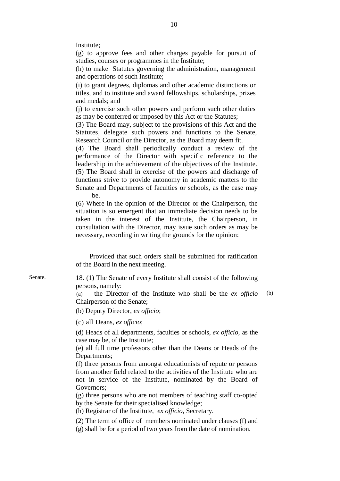Institute;

(g) to approve fees and other charges payable for pursuit of studies, courses or programmes in the Institute;

(h) to make Statutes governing the administration, management and operations of such Institute;

(i) to grant degrees, diplomas and other academic distinctions or titles, and to institute and award fellowships, scholarships, prizes and medals; and

(j) to exercise such other powers and perform such other duties as may be conferred or imposed by this Act or the Statutes;

(3) The Board may, subject to the provisions of this Act and the Statutes, delegate such powers and functions to the Senate, Research Council or the Director, as the Board may deem fit.

(4) The Board shall periodically conduct a review of the performance of the Director with specific reference to the leadership in the achievement of the objectives of the Institute. (5) The Board shall in exercise of the powers and discharge of functions strive to provide autonomy in academic matters to the Senate and Departments of faculties or schools, as the case may be.

(6) Where in the opinion of the Director or the Chairperson, the situation is so emergent that an immediate decision needs to be taken in the interest of the Institute, the Chairperson, in consultation with the Director, may issue such orders as may be necessary, recording in writing the grounds for the opinion:

 Provided that such orders shall be submitted for ratification of the Board in the next meeting.

Senate. 18. (1) The Senate of every Institute shall consist of the following persons, namely:

> (a) the Director of the Institute who shall be the *ex officio* Chairperson of the Senate; (b)

(b) Deputy Director, *ex officio*;

(c) all Deans, *ex officio*;

(d) Heads of all departments, faculties or schools, *ex officio,* as the case may be, of the Institute;

(e) all full time professors other than the Deans or Heads of the Departments;

(f) three persons from amongst educationists of repute or persons from another field related to the activities of the Institute who are not in service of the Institute, nominated by the Board of Governors;

(g) three persons who are not members of teaching staff co-opted by the Senate for their specialised knowledge;

(h) Registrar of the Institute, *ex officio*, Secretary.

(2) The term of office of members nominated under clauses (f) and (g) shall be for a period of two years from the date of nomination.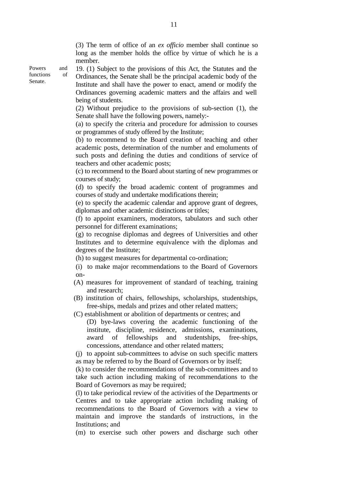(3) The term of office of an *ex officio* member shall continue so long as the member holds the office by virtue of which he is a member.

19. (1) Subject to the provisions of this Act, the Statutes and the Ordinances, the Senate shall be the principal academic body of the Institute and shall have the power to enact, amend or modify the Ordinances governing academic matters and the affairs and well being of students.

(2) Without prejudice to the provisions of sub-section (1), the Senate shall have the following powers, namely:-

(a) to specify the criteria and procedure for admission to courses or programmes of study offered by the Institute;

(b) to recommend to the Board creation of teaching and other academic posts, determination of the number and emoluments of such posts and defining the duties and conditions of service of teachers and other academic posts;

(c) to recommend to the Board about starting of new programmes or courses of study;

(d) to specify the broad academic content of programmes and courses of study and undertake modifications therein;

(e) to specify the academic calendar and approve grant of degrees, diplomas and other academic distinctions or titles;

(f) to appoint examiners, moderators, tabulators and such other personnel for different examinations;

(g) to recognise diplomas and degrees of Universities and other Institutes and to determine equivalence with the diplomas and degrees of the Institute;

(h) to suggest measures for departmental co-ordination;

(i) to make major recommendations to the Board of Governors on-

- (A) measures for improvement of standard of teaching, training and research;
- (B) institution of chairs, fellowships, scholarships, studentships, free-ships, medals and prizes and other related matters;

(C) establishment or abolition of departments or centres; and

(D) bye-laws covering the academic functioning of the institute, discipline, residence, admissions, examinations, award of fellowships and studentships, free-ships, concessions, attendance and other related matters;

(j) to appoint sub-committees to advise on such specific matters as may be referred to by the Board of Governors or by itself;

(k) to consider the recommendations of the sub-committees and to take such action including making of recommendations to the Board of Governors as may be required;

(l) to take periodical review of the activities of the Departments or Centres and to take appropriate action including making of recommendations to the Board of Governors with a view to maintain and improve the standards of instructions, in the Institutions; and

(m) to exercise such other powers and discharge such other

Powers and functions of Senate.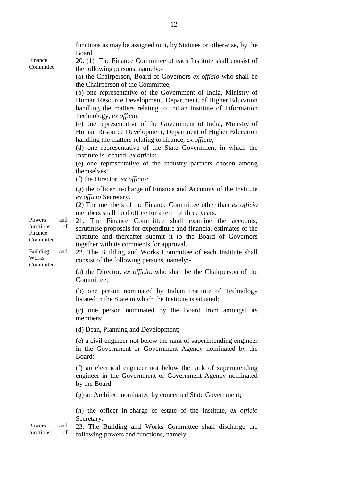| Finance<br>Committee.                                                    |                  | functions as may be assigned to it, by Statutes or otherwise, by the<br>Board.<br>20. (1) The Finance Committee of each Institute shall consist of<br>the following persons, namely:-<br>(a) the Chairperson, Board of Governors ex officio who shall be<br>the Chairperson of the Committee;<br>(b) one representative of the Government of India, Ministry of<br>Human Resource Development, Department, of Higher Education<br>handling the matters relating to Indian Institute of Information<br>Technology, ex officio;<br>(c) one representative of the Government of India, Ministry of<br>Human Resource Development, Department of Higher Education<br>handling the matters relating to finance, ex officio;<br>(d) one representative of the State Government in which the<br>Institute is located, ex officio;<br>(e) one representative of the industry partners chosen among<br>themselves:<br>(f) the Director, $ex$ officio; |
|--------------------------------------------------------------------------|------------------|----------------------------------------------------------------------------------------------------------------------------------------------------------------------------------------------------------------------------------------------------------------------------------------------------------------------------------------------------------------------------------------------------------------------------------------------------------------------------------------------------------------------------------------------------------------------------------------------------------------------------------------------------------------------------------------------------------------------------------------------------------------------------------------------------------------------------------------------------------------------------------------------------------------------------------------------|
| Powers<br>functions<br>Finance<br>Committee.<br><b>Building</b><br>Works | and<br>of<br>and | (g) the officer in-charge of Finance and Accounts of the Institute<br>ex officio Secretary.<br>(2) The members of the Finance Committee other than ex officio<br>members shall hold office for a term of three years.<br>21. The Finance Committee shall examine the accounts,<br>scrutinise proposals for expenditure and financial estimates of the<br>Institute and thereafter submit it to the Board of Governors<br>together with its comments for approval.<br>22. The Building and Works Committee of each Institute shall<br>consist of the following persons, namely:-                                                                                                                                                                                                                                                                                                                                                              |
| Committee.                                                               |                  | (a) the Director, ex officio, who shall be the Chairperson of the<br>Committee;<br>(b) one person nominated by Indian Institute of Technology<br>located in the State in which the Institute is situated;<br>(c) one person nominated by the Board from amongst its<br>members;<br>(d) Dean, Planning and Development;<br>(e) a civil engineer not below the rank of superintending engineer<br>in the Government or Government Agency nominated by the<br>Board;<br>(f) an electrical engineer not below the rank of superintending<br>engineer in the Government or Government Agency nominated<br>by the Board;<br>(g) an Architect nominated by concerned State Government;                                                                                                                                                                                                                                                              |
| Powers<br>functions                                                      | and<br>of        | (h) the officer in-charge of estate of the Institute, ex officio<br>Secretary.<br>23. The Building and Works Committee shall discharge the<br>following powers and functions, namely:-                                                                                                                                                                                                                                                                                                                                                                                                                                                                                                                                                                                                                                                                                                                                                       |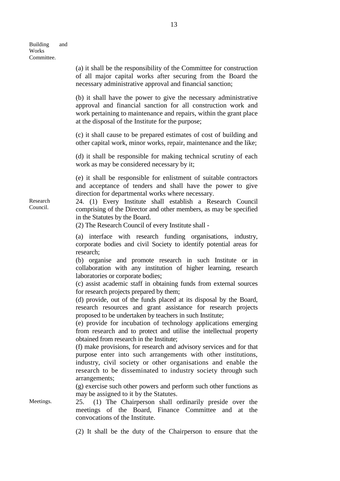|                      | (a) it shall be the responsibility of the Committee for construction<br>of all major capital works after securing from the Board the<br>necessary administrative approval and financial sanction;                                                                                                                                                                                                                                                                                                                                                                                                                                                                                                                                                                                                                                                                                                                                                                                                                                                                                                                                                                                             |  |  |  |  |  |  |  |
|----------------------|-----------------------------------------------------------------------------------------------------------------------------------------------------------------------------------------------------------------------------------------------------------------------------------------------------------------------------------------------------------------------------------------------------------------------------------------------------------------------------------------------------------------------------------------------------------------------------------------------------------------------------------------------------------------------------------------------------------------------------------------------------------------------------------------------------------------------------------------------------------------------------------------------------------------------------------------------------------------------------------------------------------------------------------------------------------------------------------------------------------------------------------------------------------------------------------------------|--|--|--|--|--|--|--|
|                      | (b) it shall have the power to give the necessary administrative<br>approval and financial sanction for all construction work and<br>work pertaining to maintenance and repairs, within the grant place<br>at the disposal of the Institute for the purpose;                                                                                                                                                                                                                                                                                                                                                                                                                                                                                                                                                                                                                                                                                                                                                                                                                                                                                                                                  |  |  |  |  |  |  |  |
|                      | (c) it shall cause to be prepared estimates of cost of building and<br>other capital work, minor works, repair, maintenance and the like;                                                                                                                                                                                                                                                                                                                                                                                                                                                                                                                                                                                                                                                                                                                                                                                                                                                                                                                                                                                                                                                     |  |  |  |  |  |  |  |
|                      | (d) it shall be responsible for making technical scrutiny of each<br>work as may be considered necessary by it;                                                                                                                                                                                                                                                                                                                                                                                                                                                                                                                                                                                                                                                                                                                                                                                                                                                                                                                                                                                                                                                                               |  |  |  |  |  |  |  |
| Research<br>Council. | (e) it shall be responsible for enlistment of suitable contractors<br>and acceptance of tenders and shall have the power to give<br>direction for departmental works where necessary.<br>24. (1) Every Institute shall establish a Research Council<br>comprising of the Director and other members, as may be specified<br>in the Statutes by the Board.<br>(2) The Research Council of every Institute shall -                                                                                                                                                                                                                                                                                                                                                                                                                                                                                                                                                                                                                                                                                                                                                                              |  |  |  |  |  |  |  |
|                      | (a) interface with research funding organisations, industry,<br>corporate bodies and civil Society to identify potential areas for<br>research;<br>(b) organise and promote research in such Institute or in<br>collaboration with any institution of higher learning, research<br>laboratories or corporate bodies;<br>(c) assist academic staff in obtaining funds from external sources<br>for research projects prepared by them;<br>(d) provide, out of the funds placed at its disposal by the Board,<br>research resources and grant assistance for research projects<br>proposed to be undertaken by teachers in such Institute;<br>(e) provide for incubation of technology applications emerging<br>from research and to protect and utilise the intellectual property<br>obtained from research in the Institute;<br>(f) make provisions, for research and advisory services and for that<br>purpose enter into such arrangements with other institutions,<br>industry, civil society or other organisations and enable the<br>research to be disseminated to industry society through such<br>arrangements;<br>(g) exercise such other powers and perform such other functions as |  |  |  |  |  |  |  |
| Meetings.            | may be assigned to it by the Statutes.<br>25. (1) The Chairperson shall ordinarily preside over the<br>meetings of the Board, Finance Committee and at the<br>convocations of the Institute.                                                                                                                                                                                                                                                                                                                                                                                                                                                                                                                                                                                                                                                                                                                                                                                                                                                                                                                                                                                                  |  |  |  |  |  |  |  |
|                      | (2) It shall be the duty of the Chairperson to ensure that the                                                                                                                                                                                                                                                                                                                                                                                                                                                                                                                                                                                                                                                                                                                                                                                                                                                                                                                                                                                                                                                                                                                                |  |  |  |  |  |  |  |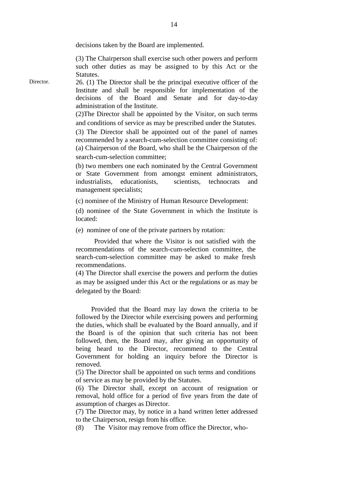decisions taken by the Board are implemented.

(3) The Chairperson shall exercise such other powers and perform such other duties as may be assigned to by this Act or the Statutes.

Director. 26. (1) The Director shall be the principal executive officer of the Institute and shall be responsible for implementation of the decisions of the Board and Senate and for day-to-day administration of the Institute.

> (2)The Director shall be appointed by the Visitor, on such terms and conditions of service as may be prescribed under the Statutes.

> (3) The Director shall be appointed out of the panel of names recommended by a search-cum-selection committee consisting of: (a) Chairperson of the Board, who shall be the Chairperson of the search-cum-selection committee;

> (b) two members one each nominated by the Central Government or State Government from amongst eminent administrators, industrialists educationists scientists technocrats and management specialists;

(c) nominee of the Ministry of Human Resource Development:

(d) nominee of the State Government in which the Institute is located:

(e) nominee of one of the private partners by rotation:

Provided that where the Visitor is not satisfied with the recommendations of the search-cum-selection committee, the search-cum-selection committee may be asked to make fresh recommendations.

(4) The Director shall exercise the powers and perform the duties as may be assigned under this Act or the regulations or as may be delegated by the Board:

 Provided that the Board may lay down the criteria to be followed by the Director while exercising powers and performing the duties, which shall be evaluated by the Board annually, and if the Board is of the opinion that such criteria has not been followed, then, the Board may, after giving an opportunity of being heard to the Director, recommend to the Central Government for holding an inquiry before the Director is removed.

(5) The Director shall be appointed on such terms and conditions of service as may be provided by the Statutes.

(6) The Director shall, except on account of resignation or removal, hold office for a period of five years from the date of assumption of charges as Director.

(7) The Director may, by notice in a hand written letter addressed to the Chairperson, resign from his office.

(8) The Visitor may remove from office the Director, who-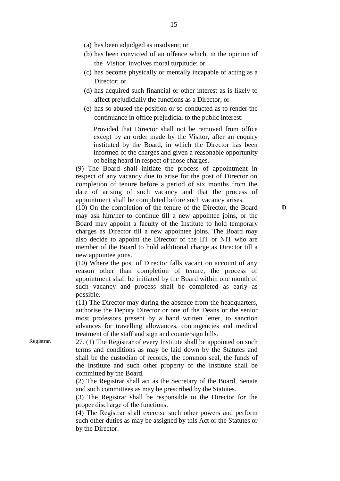- (a) has been adjudged as insolvent; or
- (b) has been convicted of an offence which, in the opinion of the Visitor, involves moral turpitude; or
- (c) has become physically or mentally incapable of acting as a Director; or
- (d) has acquired such financial or other interest as is likely to affect prejudicially the functions as a Director; or
- (e) has so abused the position or so conducted as to render the continuance in office prejudicial to the public interest:

Provided that Director shall not be removed from office except by an order made by the Visitor, after an enquiry instituted by the Board, in which the Director has been informed of the charges and given a reasonable opportunity of being heard in respect of those charges.

(9) The Board shall initiate the process of appointment in respect of any vacancy due to arise for the post of Director on completion of tenure before a period of six months from the date of arising of such vacancy and that the process of appointment shall be completed before such vacancy arises.

(10) On the completion of the tenure of the Director, the Board may ask him/her to continue till a new appointee joins, or the Board may appoint a faculty of the Institute to hold temporary charges as Director till a new appointee joins. The Board may also decide to appoint the Director of the IIT or NIT who are member of the Board to hold additional charge as Director till a new appointee joins.

(10) Where the post of Director falls vacant on account of any reason other than completion of tenure, the process of appointment shall be initiated by the Board within one month of such vacancy and process shall be completed as early as possible.

(11) The Director may during the absence from the headquarters, authorise the Deputy Director or one of the Deans or the senior most professors present by a hand written letter, to sanction advances for travelling allowances, contingencies and medical treatment of the staff and sign and countersign bills.

Registrar. 27. (1) The Registrar of every Institute shall be appointed on such terms and conditions as may be laid down by the Statutes and shall be the custodian of records, the common seal, the funds of the Institute and such other property of the Institute shall be committed by the Board.

> (2) The Registrar shall act as the Secretary of the Board, Senate and such committees as may be prescribed by the Statutes.

> (3) The Registrar shall be responsible to the Director for the proper discharge of the functions.

> (4) The Registrar shall exercise such other powers and perform such other duties as may be assigned by this Act or the Statutes or by the Director.

**D**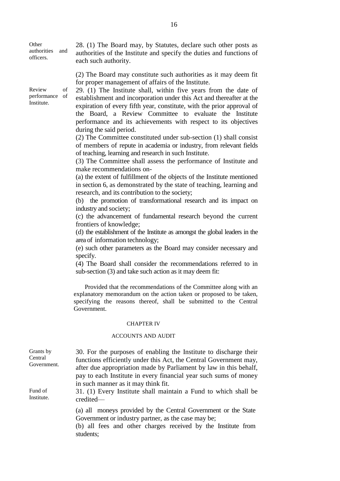**Other** authorities and officers. 28. (1) The Board may, by Statutes, declare such other posts as authorities of the Institute and specify the duties and functions of each such authority. (2) The Board may constitute such authorities as it may deem fit for proper management of affairs of the Institute. Review of performance of Institute. 29. (1) The Institute shall, within five years from the date of establishment and incorporation under this Act and thereafter at the expiration of every fifth year, constitute, with the prior approval of the Board, a Review Committee to evaluate the Institute performance and its achievements with respect to its objectives during the said period. (2) The Committee constituted under sub-section (1) shall consist of members of repute in academia or industry, from relevant fields of teaching, learning and research in such Institute. (3) The Committee shall assess the performance of Institute and make recommendations on- (a) the extent of fulfillment of the objects of the Institute mentioned in section 6, as demonstrated by the state of teaching, learning and research, and its contribution to the society; (b) the promotion of transformational research and its impact on industry and society; (c) the advancement of fundamental research beyond the current frontiers of knowledge; (d) the establishment of the Institute as amongst the global leaders in the area of information technology; (e) such other parameters as the Board may consider necessary and specify. (4) The Board shall consider the recommendations referred to in sub-section (3) and take such action as it may deem fit: Provided that the recommendations of the Committee along with an Government. CHAPTER IV ACCOUNTS AND AUDIT Grants by Central Government. 30. For the purposes of enabling the Institute to discharge their functions efficiently under this Act, the Central Government may, after due appropriation made by Parliament by law in this behalf, pay to each Institute in every financial year such sums of money in such manner as it may think fit. Fund of Institute. credited–– (a) all moneys provided by the Central Government or the State Government or industry partner, as the case may be; (b) all fees and other charges received by the Institute from

explanatory memorandum on the action taken or proposed to be taken, specifying the reasons thereof, shall be submitted to the Central

31. (1) Every Institute shall maintain a Fund to which shall be

students;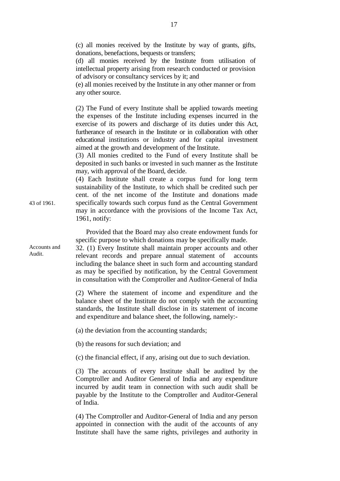(c) all monies received by the Institute by way of grants, gifts, donations, benefactions, bequests or transfers;

(d) all monies received by the Institute from utilisation of intellectual property arising from research conducted or provision of advisory or consultancy services by it; and

(e) all monies received by the Institute in any other manner or from any other source.

(2) The Fund of every Institute shall be applied towards meeting the expenses of the Institute including expenses incurred in the exercise of its powers and discharge of its duties under this Act, furtherance of research in the Institute or in collaboration with other educational institutions or industry and for capital investment aimed at the growth and development of the Institute.

(3) All monies credited to the Fund of every Institute shall be deposited in such banks or invested in such manner as the Institute may, with approval of the Board, decide.

(4) Each Institute shall create a corpus fund for long term sustainability of the Institute, to which shall be credited such per cent. of the net income of the Institute and donations made specifically towards such corpus fund as the Central Government may in accordance with the provisions of the Income Tax Act, 1961, notify:

 Provided that the Board may also create endowment funds for specific purpose to which donations may be specifically made.

32. (1) Every Institute shall maintain proper accounts and other relevant records and prepare annual statement of accounts including the balance sheet in such form and accounting standard as may be specified by notification, by the Central Government in consultation with the Comptroller and Auditor-General of India

(2) Where the statement of income and expenditure and the balance sheet of the Institute do not comply with the accounting standards, the Institute shall disclose in its statement of income and expenditure and balance sheet, the following, namely:-

(a) the deviation from the accounting standards;

(b) the reasons for such deviation; and

(c) the financial effect, if any, arising out due to such deviation.

(3) The accounts of every Institute shall be audited by the Comptroller and Auditor General of India and any expenditure incurred by audit team in connection with such audit shall be payable by the Institute to the Comptroller and Auditor-General of India.

(4) The Comptroller and Auditor-General of India and any person appointed in connection with the audit of the accounts of any Institute shall have the same rights, privileges and authority in

43 of 1961.

Accounts and Audit.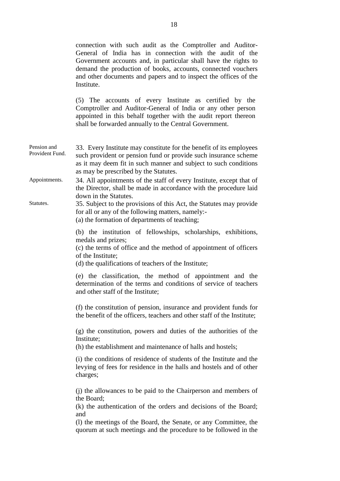|                                | connection with such audit as the Comptroller and Auditor-<br>General of India has in connection with the audit of the<br>Government accounts and, in particular shall have the rights to<br>demand the production of books, accounts, connected vouchers<br>and other documents and papers and to inspect the offices of the<br>Institute.<br>(5) The accounts of every Institute as certified by the<br>Comptroller and Auditor-General of India or any other person<br>appointed in this behalf together with the audit report thereon<br>shall be forwarded annually to the Central Government. |
|--------------------------------|-----------------------------------------------------------------------------------------------------------------------------------------------------------------------------------------------------------------------------------------------------------------------------------------------------------------------------------------------------------------------------------------------------------------------------------------------------------------------------------------------------------------------------------------------------------------------------------------------------|
|                                |                                                                                                                                                                                                                                                                                                                                                                                                                                                                                                                                                                                                     |
| Pension and<br>Provident Fund. | 33. Every Institute may constitute for the benefit of its employees<br>such provident or pension fund or provide such insurance scheme<br>as it may deem fit in such manner and subject to such conditions<br>as may be prescribed by the Statutes.                                                                                                                                                                                                                                                                                                                                                 |
| Appointments.                  | 34. All appointments of the staff of every Institute, except that of<br>the Director, shall be made in accordance with the procedure laid                                                                                                                                                                                                                                                                                                                                                                                                                                                           |
| Statutes.                      | down in the Statutes.<br>35. Subject to the provisions of this Act, the Statutes may provide<br>for all or any of the following matters, namely:-<br>(a) the formation of departments of teaching;                                                                                                                                                                                                                                                                                                                                                                                                  |
|                                | (b) the institution of fellowships, scholarships, exhibitions,<br>medals and prizes;<br>(c) the terms of office and the method of appointment of officers<br>of the Institute;<br>(d) the qualifications of teachers of the Institute;                                                                                                                                                                                                                                                                                                                                                              |
|                                | (e) the classification, the method of appointment and the<br>determination of the terms and conditions of service of teachers<br>and other staff of the Institute;                                                                                                                                                                                                                                                                                                                                                                                                                                  |
|                                | (f) the constitution of pension, insurance and provident funds for<br>the benefit of the officers, teachers and other staff of the Institute;                                                                                                                                                                                                                                                                                                                                                                                                                                                       |
|                                | (g) the constitution, powers and duties of the authorities of the<br>Institute;                                                                                                                                                                                                                                                                                                                                                                                                                                                                                                                     |
|                                | (h) the establishment and maintenance of halls and hostels;                                                                                                                                                                                                                                                                                                                                                                                                                                                                                                                                         |
|                                | (i) the conditions of residence of students of the Institute and the<br>levying of fees for residence in the halls and hostels and of other<br>charges;                                                                                                                                                                                                                                                                                                                                                                                                                                             |
|                                | (j) the allowances to be paid to the Chairperson and members of<br>the Board;<br>(k) the authentication of the orders and decisions of the Board;<br>and                                                                                                                                                                                                                                                                                                                                                                                                                                            |
|                                | (1) the meetings of the Board, the Senate, or any Committee, the<br>quorum at such meetings and the procedure to be followed in the                                                                                                                                                                                                                                                                                                                                                                                                                                                                 |
|                                |                                                                                                                                                                                                                                                                                                                                                                                                                                                                                                                                                                                                     |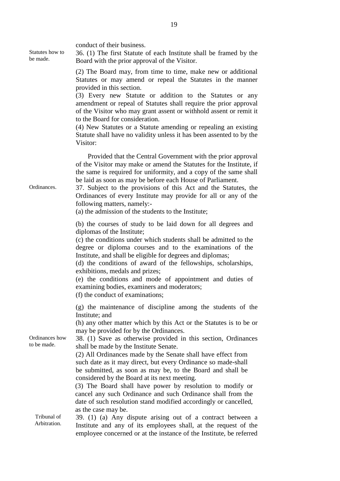| Statutes how to<br>be made.   | conduct of their business.<br>36. (1) The first Statute of each Institute shall be framed by the<br>Board with the prior approval of the Visitor.<br>(2) The Board may, from time to time, make new or additional<br>Statutes or may amend or repeal the Statutes in the manner<br>provided in this section.<br>(3) Every new Statute or addition to the Statutes or any<br>amendment or repeal of Statutes shall require the prior approval                                                                                                             |
|-------------------------------|----------------------------------------------------------------------------------------------------------------------------------------------------------------------------------------------------------------------------------------------------------------------------------------------------------------------------------------------------------------------------------------------------------------------------------------------------------------------------------------------------------------------------------------------------------|
|                               | of the Visitor who may grant assent or withhold assent or remit it<br>to the Board for consideration.<br>(4) New Statutes or a Statute amending or repealing an existing<br>Statute shall have no validity unless it has been assented to by the<br>Visitor:                                                                                                                                                                                                                                                                                             |
| Ordinances.                   | Provided that the Central Government with the prior approval<br>of the Visitor may make or amend the Statutes for the Institute, if<br>the same is required for uniformity, and a copy of the same shall<br>be laid as soon as may be before each House of Parliament.<br>37. Subject to the provisions of this Act and the Statutes, the<br>Ordinances of every Institute may provide for all or any of the<br>following matters, namely:-<br>(a) the admission of the students to the Institute;                                                       |
|                               | (b) the courses of study to be laid down for all degrees and<br>diplomas of the Institute;<br>(c) the conditions under which students shall be admitted to the<br>degree or diploma courses and to the examinations of the<br>Institute, and shall be eligible for degrees and diplomas;<br>(d) the conditions of award of the fellowships, scholarships,<br>exhibitions, medals and prizes;<br>(e) the conditions and mode of appointment and duties of<br>examining bodies, examiners and moderators;<br>(f) the conduct of examinations;              |
| Ordinances how<br>to be made. | (g) the maintenance of discipline among the students of the<br>Institute; and<br>(h) any other matter which by this Act or the Statutes is to be or<br>may be provided for by the Ordinances.<br>38. (1) Save as otherwise provided in this section, Ordinances<br>shall be made by the Institute Senate.<br>(2) All Ordinances made by the Senate shall have effect from<br>such date as it may direct, but every Ordinance so made-shall<br>be submitted, as soon as may be, to the Board and shall be<br>considered by the Board at its next meeting. |
| Tribunal of<br>Arbitration.   | (3) The Board shall have power by resolution to modify or<br>cancel any such Ordinance and such Ordinance shall from the<br>date of such resolution stand modified accordingly or cancelled,<br>as the case may be.<br>39. (1) (a) Any dispute arising out of a contract between a<br>Institute and any of its employees shall, at the request of the<br>employee concerned or at the instance of the Institute, be referred                                                                                                                             |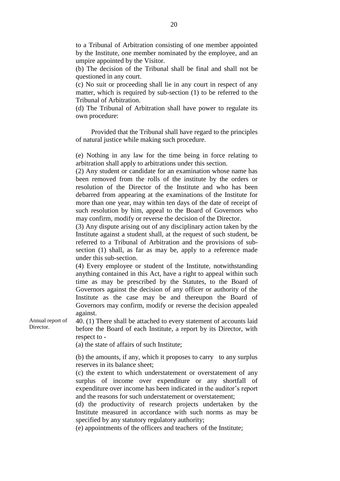to a Tribunal of Arbitration consisting of one member appointed by the Institute, one member nominated by the employee, and an umpire appointed by the Visitor.

(b) The decision of the Tribunal shall be final and shall not be questioned in any court.

(c) No suit or proceeding shall lie in any court in respect of any matter, which is required by sub-section (1) to be referred to the Tribunal of Arbitration.

(d) The Tribunal of Arbitration shall have power to regulate its own procedure:

 Provided that the Tribunal shall have regard to the principles of natural justice while making such procedure.

(e) Nothing in any law for the time being in force relating to arbitration shall apply to arbitrations under this section.

(2) Any student or candidate for an examination whose name has been removed from the rolls of the institute by the orders or resolution of the Director of the Institute and who has been debarred from appearing at the examinations of the Institute for more than one year, may within ten days of the date of receipt of such resolution by him, appeal to the Board of Governors who may confirm, modify or reverse the decision of the Director.

(3) Any dispute arising out of any disciplinary action taken by the Institute against a student shall, at the request of such student, be referred to a Tribunal of Arbitration and the provisions of subsection (1) shall, as far as may be, apply to a reference made under this sub-section.

(4) Every employee or student of the Institute, notwithstanding anything contained in this Act, have a right to appeal within such time as may be prescribed by the Statutes, to the Board of Governors against the decision of any officer or authority of the Institute as the case may be and thereupon the Board of Governors may confirm, modify or reverse the decision appealed against.

Annual report of Director.

40. (1) There shall be attached to every statement of accounts laid before the Board of each Institute, a report by its Director, with respect to -

(a) the state of affairs of such Institute;

 (b) the amounts, if any, which it proposes to carry to any surplus reserves in its balance sheet;

(c) the extent to which understatement or overstatement of any surplus of income over expenditure or any shortfall of expenditure over income has been indicated in the auditor's report and the reasons for such understatement or overstatement;

(d) the productivity of research projects undertaken by the Institute measured in accordance with such norms as may be specified by any statutory regulatory authority;

(e) appointments of the officers and teachers of the Institute;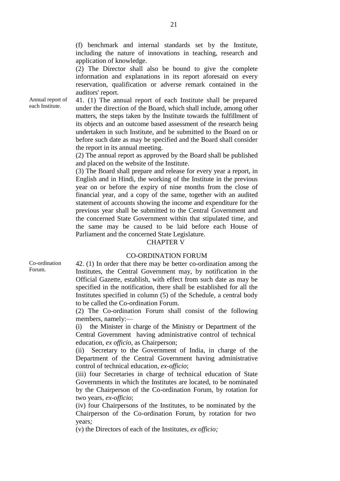(f) benchmark and internal standards set by the Institute, including the nature of innovations in teaching, research and application of knowledge.

(2) The Director shall also be bound to give the complete information and explanations in its report aforesaid on every reservation, qualification or adverse remark contained in the auditors' report.

Annual report of each Institute.

41. (1) The annual report of each Institute shall be prepared under the direction of the Board, which shall include, among other matters, the steps taken by the Institute towards the fulfillment of its objects and an outcome based assessment of the research being undertaken in such Institute, and be submitted to the Board on or before such date as may be specified and the Board shall consider the report in its annual meeting.

(2) The annual report as approved by the Board shall be published and placed on the website of the Institute.

(3) The Board shall prepare and release for every year a report, in English and in Hindi, the working of the Institute in the previous year on or before the expiry of nine months from the close of financial year, and a copy of the same, together with an audited statement of accounts showing the income and expenditure for the previous year shall be submitted to the Central Government and the concerned State Government within that stipulated time, and the same may be caused to be laid before each House of Parliament and the concerned State Legislature.

#### CHAPTER V

## CO-ORDINATION FORUM

Co-ordination Forum.

42. (1) In order that there may be better co-ordination among the Institutes, the Central Government may, by notification in the Official Gazette, establish, with effect from such date as may be specified in the notification, there shall be established for all the Institutes specified in column (5) of the Schedule, a central body to be called the Co-ordination Forum.

(2) The Co-ordination Forum shall consist of the following members, namely:—

(i) the Minister in charge of the Ministry or Department of the Central Government having administrative control of technical education, *ex officio,* as Chairperson;

(ii) Secretary to the Government of India, in charge of the Department of the Central Government having administrative control of technical education, *ex-officio*;

(iii) four Secretaries in charge of technical education of State Governments in which the Institutes are located, to be nominated by the Chairperson of the Co-ordination Forum, by rotation for two years, *ex-officio*;

(iv) four Chairpersons of the Institutes, to be nominated by the Chairperson of the Co-ordination Forum, by rotation for two years*;*

(v) the Directors of each of the Institutes, *ex officio;*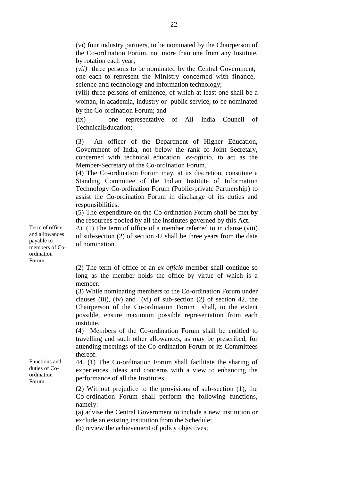(vi) four industry partners, to be nominated by the Chairperson of the Co-ordination Forum, not more than one from any Institute, by rotation each year;

*(vii)* three persons to be nominated by the Central Government, one each to represent the Ministry concerned with finance, science and technology and information technology;

(viii) three persons of eminence, of which at least one shall be a woman, in academia, industry or public service, to be nominated by the Co-ordination Forum; and

(ix) one representative of All India Council of TechnicalEducation;

(3) An officer of the Department of Higher Education, Government of India, not below the rank of Joint Secretary, concerned with technical education, *ex-officio*, to act as the Member-Secretary of the Co-ordination Forum.

(4) The Co-ordination Forum may, at its discretion, constitute a Standing Committee of the Indian Institute of Information Technology Co-ordination Forum (Public-private Partnership) to assist the Co-ordination Forum in discharge of its duties and responsibilities.

(5) The expenditure on the Co-ordination Forum shall be met by the resources pooled by all the institutes governed by this Act.

*43.* (1) The term of office of a member referred to in clause (viii) of sub-section (2) of section 42 shall be three years from the date of nomination.

(2) The term of office of an *ex officio* member shall continue so long as the member holds the office by virtue of which is a member.

(3) While nominating members to the Co-ordination Forum under clauses (iii), (iv) and (vi) of sub-section  $(2)$  of section 42, the Chairperson of the Co-ordination Forum shall, to the extent possible, ensure maximum possible representation from each institute.

(4) Members of the Co-ordination Forum shall be entitled to travelling and such other allowances, as may be prescribed, for attending meetings of the Co-ordination Forum or its Committees thereof.

44. (1) The Co-ordination Forum shall facilitate the sharing of experiences, ideas and concerns with a view to enhancing the performance of all the Institutes.

(2) Without prejudice to the provisions of sub-section (1), the Co-ordination Forum shall perform the following functions, namely:—

(a) advise the Central Government to include a new institution or exclude an existing institution from the Schedule;

(b) review the achievement of policy objectives;

Term of office and allowances payable to members of Coordination Forum.

Functions and duties of Coordination Forum.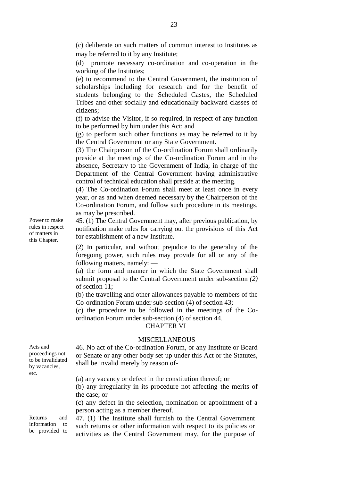(c) deliberate on such matters of common interest to Institutes as may be referred to it by any Institute;

(d) promote necessary co-ordination and co-operation in the working of the Institutes;

(e) to recommend to the Central Government, the institution of scholarships including for research and for the benefit of students belonging to the Scheduled Castes, the Scheduled Tribes and other socially and educationally backward classes of citizens;

(f) to advise the Visitor, if so required, in respect of any function to be performed by him under this Act; and

(g) to perform such other functions as may be referred to it by the Central Government or any State Government.

(3) The Chairperson of the Co-ordination Forum shall ordinarily preside at the meetings of the Co-ordination Forum and in the absence, Secretary to the Government of India, in charge of the Department of the Central Government having administrative control of technical education shall preside at the meeting.

(4) The Co-ordination Forum shall meet at least once in every year, or as and when deemed necessary by the Chairperson of the Co-ordination Forum, and follow such procedure in its meetings, as may be prescribed.

45. (1) The Central Government may, after previous publication, by notification make rules for carrying out the provisions of this Act for establishment of a new Institute.

(2) In particular, and without prejudice to the generality of the foregoing power, such rules may provide for all or any of the following matters, namely: —

(a) the form and manner in which the State Government shall submit proposal to the Central Government under sub-section *(2)*  of section 11;

(b) the travelling and other allowances payable to members of the Co-ordination Forum under sub-section (4) of section 43;

(c) the procedure to be followed in the meetings of the Coordination Forum under sub-section (4) of section 44.

## CHAPTER VI

#### MISCELLANEOUS

46. No act of the Co-ordination Forum, or any Institute or Board or Senate or any other body set up under this Act or the Statutes, shall be invalid merely by reason of-

(a) any vacancy or defect in the constitution thereof; or (b) any irregularity in its procedure not affecting the merits of the case; or (c) any defect in the selection, nomination or appointment of a

person acting as a member thereof.

47. (1) The Institute shall furnish to the Central Government such returns or other information with respect to its policies or activities as the Central Government may, for the purpose of

Power to make rules in respect of matters in this Chapter.

Returns and information to be provided to

Acts and proceedings not to be invalidated by vacancies,

etc.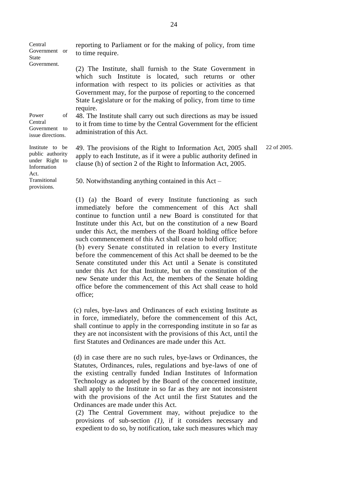| Central<br>Government or<br>State                                            |    | reporting to Parliament or for the making of policy, from time<br>to time require.                                                                                                                                                                                                                                                       |
|------------------------------------------------------------------------------|----|------------------------------------------------------------------------------------------------------------------------------------------------------------------------------------------------------------------------------------------------------------------------------------------------------------------------------------------|
| Government.                                                                  |    | (2) The Institute, shall furnish to the State Government in<br>which such Institute is located, such returns or other<br>information with respect to its policies or activities as that<br>Government may, for the purpose of reporting to the concerned<br>State Legislature or for the making of policy, from time to time<br>require. |
| Power<br>Central<br>Government to<br>issue directions.                       | of | 48. The Institute shall carry out such directions as may be issued<br>to it from time to time by the Central Government for the efficient<br>administration of this Act.                                                                                                                                                                 |
| Institute to be<br>public authority<br>under Right to<br>Information<br>Act. |    | 22 of 2005.<br>49. The provisions of the Right to Information Act, 2005 shall<br>apply to each Institute, as if it were a public authority defined in<br>clause (h) of section 2 of the Right to Information Act, 2005.                                                                                                                  |
| Transitional<br>provisions.                                                  |    | 50. Notwithstanding anything contained in this $Act -$                                                                                                                                                                                                                                                                                   |
|                                                                              |    | (1) (a) the Board of every Institute functioning as such<br>immediately before the commencement of this Act shall                                                                                                                                                                                                                        |

continue to function until a new Board is constituted for that Institute under this Act, but on the constitution of a new Board under this Act, the members of the Board holding office before such commencement of this Act shall cease to hold office;

(b) every Senate constituted in relation to every Institute before the commencement of this Act shall be deemed to be the Senate constituted under this Act until a Senate is constituted under this Act for that Institute, but on the constitution of the new Senate under this Act, the members of the Senate holding office before the commencement of this Act shall cease to hold office;

(c) rules, bye-laws and Ordinances of each existing Institute as in force, immediately, before the commencement of this Act, shall continue to apply in the corresponding institute in so far as they are not inconsistent with the provisions of this Act, until the first Statutes and Ordinances are made under this Act.

(d) in case there are no such rules, bye-laws or Ordinances, the Statutes, Ordinances, rules, regulations and bye-laws of one of the existing centrally funded Indian Institutes of Information Technology as adopted by the Board of the concerned institute, shall apply to the Institute in so far as they are not inconsistent with the provisions of the Act until the first Statutes and the Ordinances are made under this Act.

(2) The Central Government may, without prejudice to the provisions of sub-section *(1),* if it considers necessary and expedient to do so, by notification, take such measures which may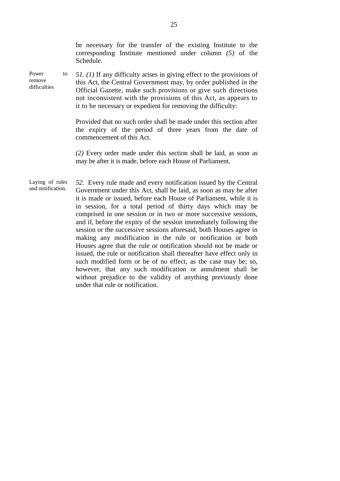|                                      |    | be necessary for the transfer of the existing Institute to the<br>corresponding Institute mentioned under column $(5)$ of the<br>Schedule.                                                                                                                                                                                                                                                                                                                                                                                                                                                                                                                                                                                                                                                                                                                                                                                               |
|--------------------------------------|----|------------------------------------------------------------------------------------------------------------------------------------------------------------------------------------------------------------------------------------------------------------------------------------------------------------------------------------------------------------------------------------------------------------------------------------------------------------------------------------------------------------------------------------------------------------------------------------------------------------------------------------------------------------------------------------------------------------------------------------------------------------------------------------------------------------------------------------------------------------------------------------------------------------------------------------------|
| Power<br>remove<br>difficulties      | to | 51. (1) If any difficulty arises in giving effect to the provisions of<br>this Act, the Central Government may, by order published in the<br>Official Gazette, make such provisions or give such directions<br>not inconsistent with the provisions of this Act, as appears to<br>it to be necessary or expedient for removing the difficulty:                                                                                                                                                                                                                                                                                                                                                                                                                                                                                                                                                                                           |
|                                      |    | Provided that no such order shall be made under this section after<br>the expiry of the period of three years from the date of<br>commencement of this Act.                                                                                                                                                                                                                                                                                                                                                                                                                                                                                                                                                                                                                                                                                                                                                                              |
|                                      |    | (2) Every order made under this section shall be laid, as soon as<br>may be after it is made, before each House of Parliament.                                                                                                                                                                                                                                                                                                                                                                                                                                                                                                                                                                                                                                                                                                                                                                                                           |
| Laying of rules<br>and notification. |    | 52. Every rule made and every notification issued by the Central<br>Government under this Act, shall be laid, as soon as may be after<br>it is made or issued, before each House of Parliament, while it is<br>in session, for a total period of thirty days which may be<br>comprised in one session or in two or more successive sessions,<br>and if, before the expiry of the session immediately following the<br>session or the successive sessions aforesaid, both Houses agree in<br>making any modification in the rule or notification or both<br>Houses agree that the rule or notification should not be made or<br>issued, the rule or notification shall thereafter have effect only in<br>such modified form or be of no effect, as the case may be; so,<br>however, that any such modification or annulment shall be<br>without prejudice to the validity of anything previously done<br>under that rule or notification. |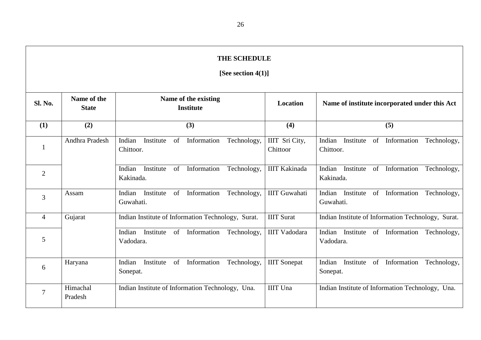# **THE SCHEDULE [See section 4(1)]**

| Sl. No.        | Name of the<br><b>State</b> | Name of the existing<br><b>Institute</b>                             | Location                   | Name of institute incorporated under this Act                  |  |  |  |  |  |
|----------------|-----------------------------|----------------------------------------------------------------------|----------------------------|----------------------------------------------------------------|--|--|--|--|--|
| (1)            | (2)                         | (3)                                                                  | (4)                        | (5)                                                            |  |  |  |  |  |
|                | Andhra Pradesh              | Information<br>Institute<br>of<br>Technology,<br>Indian<br>Chittoor. | IIIT Sri City,<br>Chittoor | Institute of Information<br>Indian<br>Technology,<br>Chittoor. |  |  |  |  |  |
| $\overline{2}$ |                             | Information<br>Indian<br>Institute<br>of<br>Technology,<br>Kakinada. | <b>IIIT Kakinada</b>       | Institute of Information<br>Indian<br>Technology,<br>Kakinada. |  |  |  |  |  |
| 3              | Assam                       | Information<br>of<br>Technology,<br>Institute<br>Indian<br>Guwahati. | <b>IIIT Guwahati</b>       | Indian Institute of Information<br>Technology,<br>Guwahati.    |  |  |  |  |  |
| $\overline{4}$ | Gujarat                     | Indian Institute of Information Technology, Surat.                   | <b>IIIT Surat</b>          | Indian Institute of Information Technology, Surat.             |  |  |  |  |  |
| 5              |                             | of Information<br>Technology,<br>Institute<br>Indian<br>Vadodara.    | <b>IIIT Vadodara</b>       | Indian Institute of Information<br>Technology,<br>Vadodara.    |  |  |  |  |  |
| 6              | Haryana                     | Institute<br>Information<br>of<br>Indian<br>Technology,<br>Sonepat.  | <b>IIIT</b> Sonepat        | Institute of Information<br>Indian<br>Technology,<br>Sonepat.  |  |  |  |  |  |
|                | Himachal<br>Pradesh         | Indian Institute of Information Technology, Una.                     | <b>IIIT</b> Una            | Indian Institute of Information Technology, Una.               |  |  |  |  |  |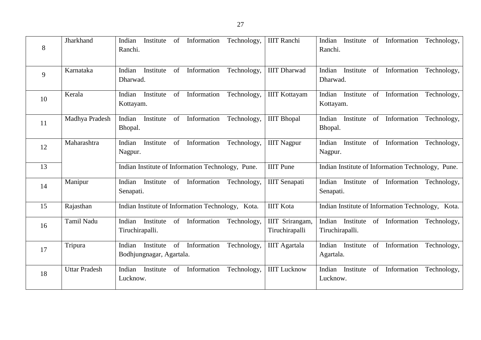| 8  | Jharkhand         | Information<br>Technology,<br>Institute<br>Indian<br>of<br>Ranchi.                        | <b>IIIT</b> Ranchi                | of Information Technology,<br>Institute<br>Indian<br>Ranchi.               |
|----|-------------------|-------------------------------------------------------------------------------------------|-----------------------------------|----------------------------------------------------------------------------|
| 9  | Karnataka         | of Information<br>Technology,<br>Indian<br>Institute<br>Dharwad.                          | <b>IIIT</b> Dharwad               | of Information<br>Indian<br>Institute<br>Technology,<br>Dharwad.           |
| 10 | Kerala            | of Information<br>Technology,<br>Institute<br>Indian<br>Kottayam.                         | <b>IIIT Kottayam</b>              | of Information<br>Indian Institute<br>Technology,<br>Kottayam.             |
| 11 | Madhya Pradesh    | Information<br>Indian<br>Institute<br>of<br>Technology,<br>Bhopal.                        | <b>IIIT</b> Bhopal                | Institute of Information<br>Technology,<br>Indian<br>Bhopal.               |
| 12 | Maharashtra       | Indian<br>of Information<br>Technology,<br>Institute<br>Nagpur.                           | <b>IIIT</b> Nagpur                | Institute of Information<br>Indian<br>Technology,<br>Nagpur.               |
| 13 |                   | Indian Institute of Information Technology, Pune.                                         | <b>IIIT</b> Pune                  | Indian Institute of Information Technology, Pune.                          |
| 14 | Manipur           | of Information<br>Technology,<br>Indian<br>Institute<br>Senapati.                         | <b>IIIT</b> Senapati              | Indian Institute of Information Technology,<br>Senapati.                   |
| 15 | Rajasthan         | Indian Institute of Information Technology, Kota.                                         | <b>IIIT</b> Kota                  | Indian Institute of Information Technology, Kota.                          |
| 16 | <b>Tamil Nadu</b> | of Information<br>Indian<br>Institute<br>Technology.<br>Tiruchirapalli.                   | IIIT Srirangam,<br>Tiruchirapalli | Indian Institute of Information<br>Technology,<br>Tiruchirapalli.          |
| 17 | Tripura           | $\sigma$<br>Information<br>Indian<br>Institute<br>Technology,<br>Bodhjungnagar, Agartala. | <b>IIIT</b> Agartala              | Indian<br>Institute<br>$\sigma$<br>Information<br>Technology,<br>Agartala. |
|    |                   |                                                                                           |                                   |                                                                            |